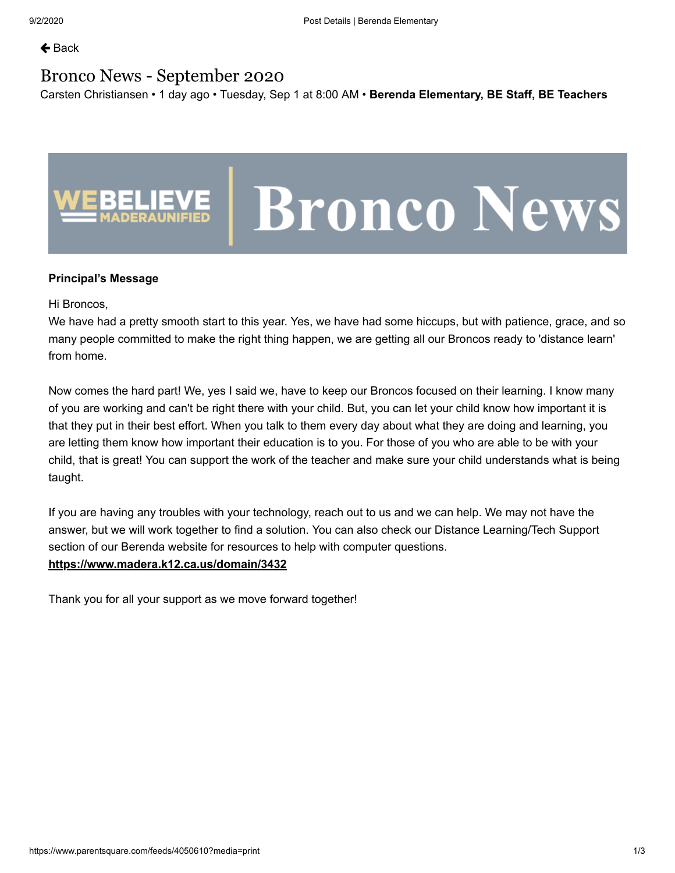#### $\triangle$  [Back](https://www.parentsquare.com/schools/5394/feeds)

### Bronco News - September 2020

[Carsten Christiansen](https://www.parentsquare.com/schools/5394/users/5133066) • 1 day ago • Tuesday, Sep 1 at 8:00 AM • **Berenda Elementary, BE Staff, BE Teachers**



### **Principal's Message**

Hi Broncos,

We have had a pretty smooth start to this year. Yes, we have had some hiccups, but with patience, grace, and so many people committed to make the right thing happen, we are getting all our Broncos ready to 'distance learn' from home.

Now comes the hard part! We, yes I said we, have to keep our Broncos focused on their learning. I know many of you are working and can't be right there with your child. But, you can let your child know how important it is that they put in their best effort. When you talk to them every day about what they are doing and learning, you are letting them know how important their education is to you. For those of you who are able to be with your child, that is great! You can support the work of the teacher and make sure your child understands what is being taught.

If you are having any troubles with your technology, reach out to us and we can help. We may not have the answer, but we will work together to find a solution. You can also check our Distance Learning/Tech Support section of our Berenda website for resources to help with computer questions.

### **<https://www.madera.k12.ca.us/domain/3432>**

Thank you for all your support as we move forward together!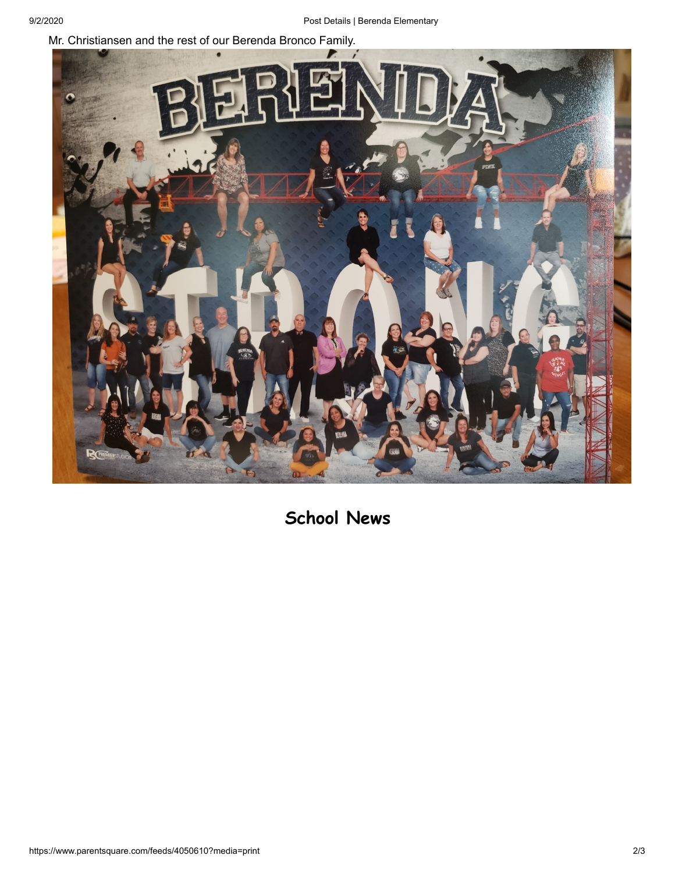Mr. Christiansen and the rest of our Berenda Bronco Family.



# **School News**